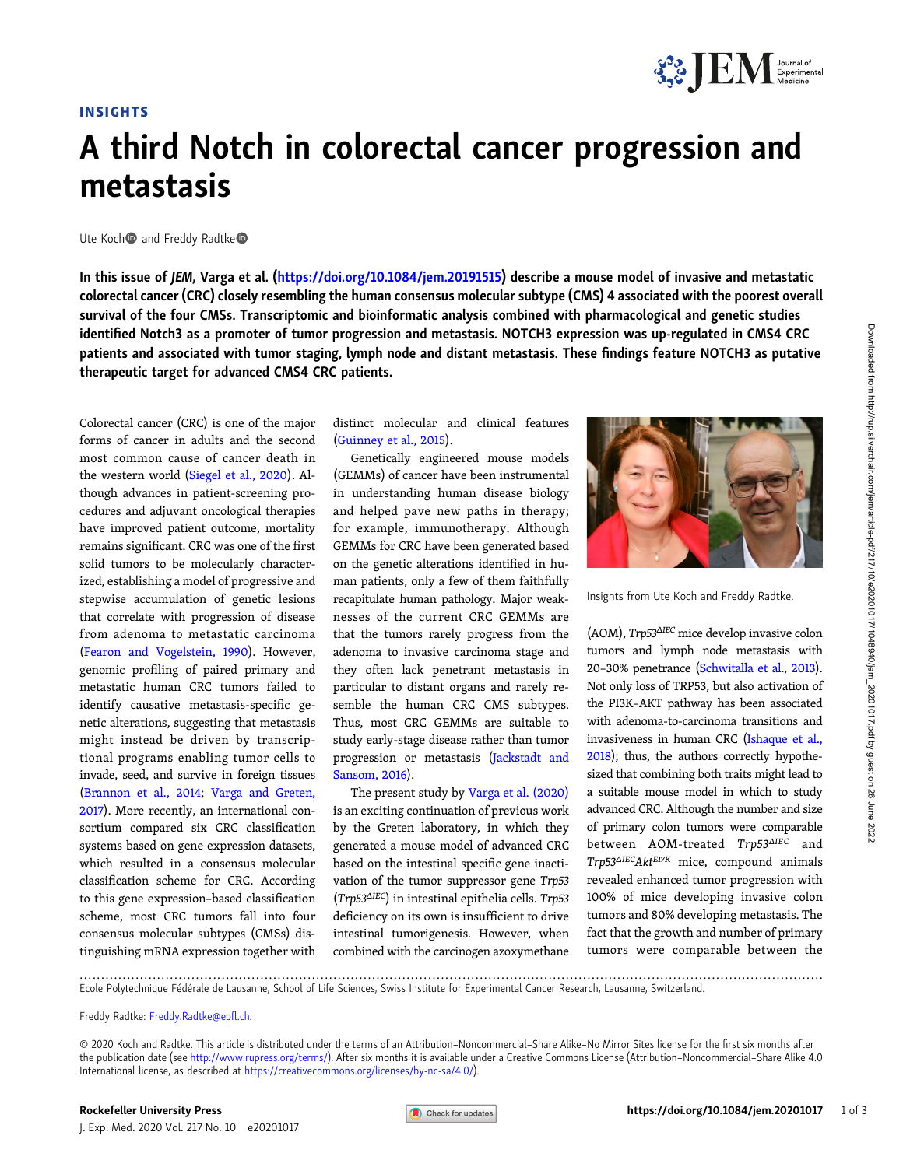## INSIGHTS

## A third Notch in colorectal cancer progression and metastasis

Ute Koch and Freddy Radtke<sup>®</sup>

In this issue of JEM, Varga et al. [\(https://doi.org/10.1084/jem.20191515](https://doi.org/10.1084/jem.20191515)) describe a mouse model of invasive and metastatic colorectal cancer (CRC) closely resembling the human consensus molecular subtype (CMS) 4 associated with the poorest overall survival of the four CMSs. Transcriptomic and bioinformatic analysis combined with pharmacological and genetic studies identified Notch3 as a promoter of tumor progression and metastasis. NOTCH3 expression was up-regulated in CMS4 CRC patients and associated with tumor staging, lymph node and distant metastasis. These findings feature NOTCH3 as putative therapeutic target for advanced CMS4 CRC patients.

Colorectal cancer (CRC) is one of the major forms of cancer in adults and the second most common cause of cancer death in the western world [\(Siegel et al., 2020\)](#page-2-0). Although advances in patient-screening procedures and adjuvant oncological therapies have improved patient outcome, mortality remains significant. CRC was one of the first solid tumors to be molecularly characterized, establishing a model of progressive and stepwise accumulation of genetic lesions that correlate with progression of disease from adenoma to metastatic carcinoma [\(Fearon and Vogelstein, 1990](#page-2-0)). However, genomic profiling of paired primary and metastatic human CRC tumors failed to identify causative metastasis-specific genetic alterations, suggesting that metastasis might instead be driven by transcriptional programs enabling tumor cells to invade, seed, and survive in foreign tissues [\(Brannon et al., 2014](#page-2-0); [Varga and Greten,](#page-2-0) [2017](#page-2-0)). More recently, an international consortium compared six CRC classification systems based on gene expression datasets, which resulted in a consensus molecular classification scheme for CRC. According to this gene expression–based classification scheme, most CRC tumors fall into four consensus molecular subtypes (CMSs) distinguishing mRNA expression together with

distinct molecular and clinical features [\(Guinney et al., 2015\)](#page-2-0).

Genetically engineered mouse models (GEMMs) of cancer have been instrumental in understanding human disease biology and helped pave new paths in therapy; for example, immunotherapy. Although GEMMs for CRC have been generated based on the genetic alterations identified in human patients, only a few of them faithfully recapitulate human pathology. Major weaknesses of the current CRC GEMMs are that the tumors rarely progress from the adenoma to invasive carcinoma stage and they often lack penetrant metastasis in particular to distant organs and rarely resemble the human CRC CMS subtypes. Thus, most CRC GEMMs are suitable to study early-stage disease rather than tumor progression or metastasis [\(Jackstadt and](#page-2-0) [Sansom, 2016\)](#page-2-0).

The present study by [Varga et al. \(2020\)](#page-2-0) is an exciting continuation of previous work by the Greten laboratory, in which they generated a mouse model of advanced CRC based on the intestinal specific gene inactivation of the tumor suppressor gene Trp53 (Trp53ΔIEC) in intestinal epithelia cells. Trp53 deficiency on its own is insufficient to drive intestinal tumorigenesis. However, when combined with the carcinogen azoxymethane



**SPORT Experimental** 

Insights from Ute Koch and Freddy Radtke.

(AOM), Trp53ΔIEC mice develop invasive colon tumors and lymph node metastasis with 20–30% penetrance [\(Schwitalla et al., 2013\)](#page-2-0). Not only loss of TRP53, but also activation of the PI3K–AKT pathway has been associated with adenoma-to-carcinoma transitions and invasiveness in human CRC ([Ishaque et al.,](#page-2-0) [2018](#page-2-0)); thus, the authors correctly hypothesized that combining both traits might lead to a suitable mouse model in which to study advanced CRC. Although the number and size of primary colon tumors were comparable between AOM-treated Trp53ΔIEC and Trp53<sup>Δ</sup>IECAktE17K mice, compound animals revealed enhanced tumor progression with 100% of mice developing invasive colon tumors and 80% developing metastasis. The fact that the growth and number of primary tumors were comparable between the

............................................................................................................................................................................. Ecole Polytechnique Fédérale de Lausanne, School of Life Sciences, Swiss Institute for Experimental Cancer Research, Lausanne, Switzerland.

Freddy Radtke: [Freddy.Radtke@ep](mailto:Freddy.Radtke@epfl.ch)fl.ch.

<sup>© 2020</sup> Koch and Radtke. This article is distributed under the terms of an Attribution–Noncommercial–Share Alike–No Mirror Sites license for the first six months after the publication date (see <http://www.rupress.org/terms/>). After six months it is available under a Creative Commons License (Attribution–Noncommercial–Share Alike 4.0 International license, as described at <https://creativecommons.org/licenses/by-nc-sa/4.0/>).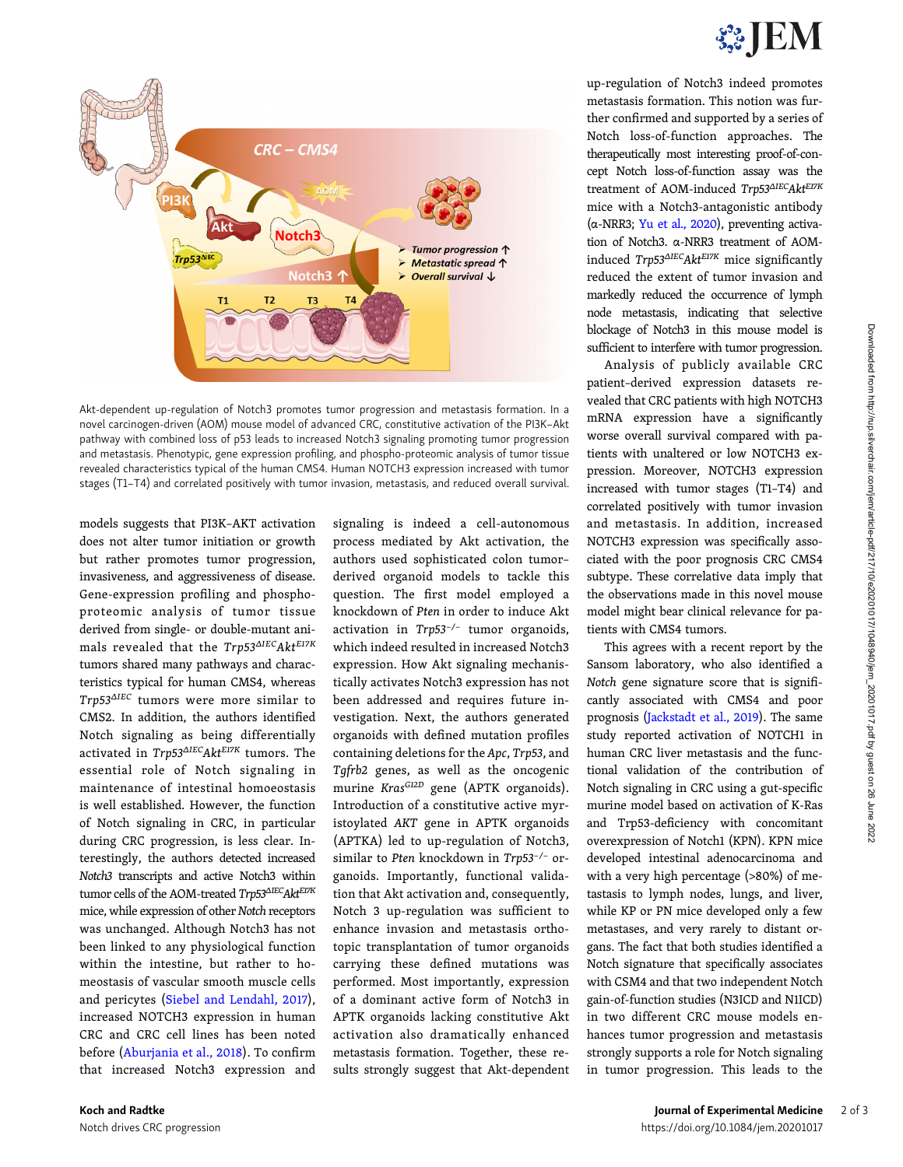

up-regulation of Notch3 indeed promotes metastasis formation. This notion was further confirmed and supported by a series of Notch loss-of-function approaches. The therapeutically most interesting proof-of-concept Notch loss-of-function assay was the treatment of AOM-induced Trp53ΔIECAktEI7K mice with a Notch3-antagonistic antibody (α-NRR3; [Yu et al., 2020](#page-2-0)), preventing activation of Notch3. α-NRR3 treatment of AOMinduced Trp53<sup>Δ</sup>IECAktE17K mice significantly reduced the extent of tumor invasion and markedly reduced the occurrence of lymph node metastasis, indicating that selective blockage of Notch3 in this mouse model is sufficient to interfere with tumor progression.

Analysis of publicly available CRC patient–derived expression datasets revealed that CRC patients with high NOTCH3 mRNA expression have a significantly worse overall survival compared with patients with unaltered or low NOTCH3 expression. Moreover, NOTCH3 expression increased with tumor stages (T1–T4) and correlated positively with tumor invasion and metastasis. In addition, increased NOTCH3 expression was specifically associated with the poor prognosis CRC CMS4 subtype. These correlative data imply that the observations made in this novel mouse model might bear clinical relevance for patients with CMS4 tumors.

This agrees with a recent report by the Sansom laboratory, who also identified a Notch gene signature score that is significantly associated with CMS4 and poor prognosis [\(Jackstadt et al., 2019\)](#page-2-0). The same study reported activation of NOTCH1 in human CRC liver metastasis and the functional validation of the contribution of Notch signaling in CRC using a gut-specific murine model based on activation of K-Ras and Trp53-deficiency with concomitant overexpression of Notch1 (KPN). KPN mice developed intestinal adenocarcinoma and with a very high percentage (>80%) of metastasis to lymph nodes, lungs, and liver, while KP or PN mice developed only a few metastases, and very rarely to distant organs. The fact that both studies identified a Notch signature that specifically associates with CSM4 and that two independent Notch gain-of-function studies (N3ICD and N1ICD) in two different CRC mouse models enhances tumor progression and metastasis strongly supports a role for Notch signaling in tumor progression. This leads to the



Akt-dependent up-regulation of Notch3 promotes tumor progression and metastasis formation. In a novel carcinogen-driven (AOM) mouse model of advanced CRC, constitutive activation of the PI3K–Akt pathway with combined loss of p53 leads to increased Notch3 signaling promoting tumor progression and metastasis. Phenotypic, gene expression profiling, and phospho-proteomic analysis of tumor tissue revealed characteristics typical of the human CMS4. Human NOTCH3 expression increased with tumor stages (T1–T4) and correlated positively with tumor invasion, metastasis, and reduced overall survival.

models suggests that PI3K–AKT activation does not alter tumor initiation or growth but rather promotes tumor progression, invasiveness, and aggressiveness of disease. Gene-expression profiling and phosphoproteomic analysis of tumor tissue derived from single- or double-mutant animals revealed that the Trp53ΔIECAktE17K tumors shared many pathways and characteristics typical for human CMS4, whereas Trp53ΔIEC tumors were more similar to CMS2. In addition, the authors identified Notch signaling as being differentially activated in Trp53<sup>Δ</sup>IECAktE17K tumors. The essential role of Notch signaling in maintenance of intestinal homoeostasis is well established. However, the function of Notch signaling in CRC, in particular during CRC progression, is less clear. Interestingly, the authors detected increased Notch3 transcripts and active Notch3 within tumor cells of the AOM-treated  $\mathit{Trp53^{\Delta IEC}\mathit{Akt}^{E17K}}$ mice, while expression of other Notch receptors was unchanged. Although Notch3 has not been linked to any physiological function within the intestine, but rather to homeostasis of vascular smooth muscle cells and pericytes [\(Siebel and Lendahl, 2017\)](#page-2-0), increased NOTCH3 expression in human CRC and CRC cell lines has been noted before ([Aburjania et al., 2018](#page-2-0)). To confirm that increased Notch3 expression and

signaling is indeed a cell-autonomous process mediated by Akt activation, the authors used sophisticated colon tumor– derived organoid models to tackle this question. The first model employed a knockdown of Pten in order to induce Akt activation in Trp53−/<sup>−</sup> tumor organoids, which indeed resulted in increased Notch3 expression. How Akt signaling mechanistically activates Notch3 expression has not been addressed and requires future investigation. Next, the authors generated organoids with defined mutation profiles containing deletions for the Apc, Trp53, and Tgfrb2 genes, as well as the oncogenic murine Kras<sup>G12D</sup> gene (APTK organoids). Introduction of a constitutive active myristoylated AKT gene in APTK organoids (APTKA) led to up-regulation of Notch3, similar to Pten knockdown in Trp53−/<sup>−</sup> organoids. Importantly, functional validation that Akt activation and, consequently, Notch 3 up-regulation was sufficient to enhance invasion and metastasis orthotopic transplantation of tumor organoids carrying these defined mutations was performed. Most importantly, expression of a dominant active form of Notch3 in APTK organoids lacking constitutive Akt activation also dramatically enhanced metastasis formation. Together, these results strongly suggest that Akt-dependent